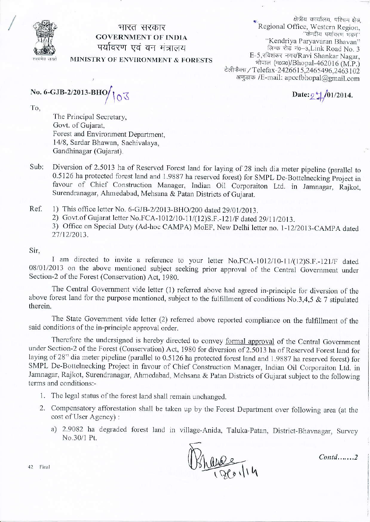

## भारत सरकार **GOVERNMENT OF INDIA** पर्यावरण एवं वन मंत्रालय MINISTRY OF ENVIRONMENT & FORESTS

क्षेत्रीय कार्यालय, पश्चिम क्षेत्र. Regional Office, Western Region, "केन्द्रीय पर्यावरण भवन' "Kendriya Paryavaran Bhavan" लिन्क रोड नं0-3, Link Road No. 3 E-5, रविशंकर नगर/Ravi Shankar Nagar, भोपाल (म0प्र0)/Bhopal-462016 (M.P.) टेलीफैक्स / Telefax-2426615,2465496,2463102 अणुडाक /E-mail: apccfbhopal@gmail.com

Date:  $2\frac{1}{4}$ /01/2014.

No. 6-GJB-2/2013-BHO $/$  $\sqrt{\circ}$ 

To.

The Principal Secretary, Govt. of Gujarat, Forest and Environment Department. 14/8, Sardar Bhawan, Sachivalaya, Gandhinagar (Gujarat).

- Diversion of 2.5013 ha of Reserved Forest land for laying of 28 inch dia meter pipeline (parallel to Sub: 0.5126 ha protected forest land and 1.9887 ha reserved forest) for SMPL De-Bottelnecking Project in favour of Chief Construction Manager, Indian Oil Corporaiton Ltd. in Jamnagar, Rajkot, Surendranagar, Ahmedabad, Mehsana & Patan Districts of Gujarat.
- Ref. 1) This office letter No. 6-GJB-2/2013-BHO/200 dated 29/01/2013.
	- 2) Govt.of Gujarat letter No.FCA-1012/10-11/(12)S.F.-121/F dated 29/11/2013.
	- 3) Office on Special Duty (Ad-hoc CAMPA) MoEF, New Delhi letter no. 1-12/2013-CAMPA dated 27/12/2013.

Sir,

I am directed to invite a reference to your letter No.FCA-1012/10-11/(12)S.F.-121/F dated 08/01/2013 on the above mentioned subject seeking prior approval of the Central Government under Section-2 of the Forest (Conservation) Act, 1980.

The Central Government vide letter (1) referred above had agreed in-principle for diversion of the above forest land for the purpose mentioned, subject to the fulfillment of conditions No.3,4,5 & 7 stipulated therein.

The State Government vide letter (2) referred above reported compliance on the fulfillment of the said conditions of the in-principle approval order.

Therefore the undersigned is hereby directed to convey formal approval of the Central Government under Section-2 of the Forest (Conservation) Act, 1980 for diversion of 2.5013 ha of Reserved Forest land for laying of 28" dia meter pipeline (parallel to 0.5126 ha protected forest land and 1.9887 ha reserved forest) for SMPL De-Bottelnecking Project in favour of Chief Construction Manager, Indian Oil Corporaiton Ltd. in Jamnagar, Rajkot, Surendranagar, Ahmedabad, Mehsana & Patan Districts of Gujarat subject to the following terms and conditions:-

- 1. The legal status of the forest land shall remain unchanged.
- 2. Compensatory afforestation shall be taken up by the Forest Department over following area (at the cost of User Agency):
	- a) 2.9082 ha degraded forest land in village-Anida, Taluka-Patan, District-Bhavnagar, Survey No.30/1 Pt.

 $h$ ance

 $Contd$ ......2

42 Final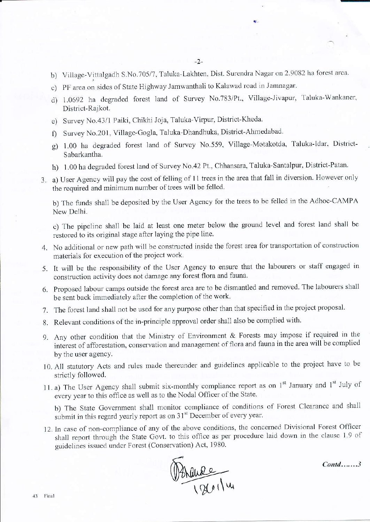- b) Village-Vittalgadh S.No.705/7, Taluka-Lakhten, Dist. Surendra Nagar on 2.9082 ha forest area.
- c) PF area on sides of State Highway Jamwanthali to Kalawad road jn Jamnagar.
- d) 1.0692 ha degraded forest land of Survey No.783/Pt., Village-Jivapur, Taluka-Wankaner, District-Rajkot.
- e) Survey No.43/1 Paiki, Chikhi Joja, Taluka-Virpur, District-Kheda.
- f) Survey No.201, Village-Gogla, Taluka-Dhandhuka, District-Ahmedabad.
- g) 1.00 ha degraded forest land of Survey No559. Village-Motakotda. Taluka-ldar. District Sabarkantha.
- h) 1.00 ha degraded forest land of Survey No.42 Pt., Chhansara, Taluka-Santalpur, District-Patan.
- 3. a) User Agency will pay the cost of felling of 11 trees in the area that fall in diversion. However only the required and minimum number of trees will be felled.

b) The funds shall be deposited by the User Agency for the trees to be felled in the Adhoc-CAMPA New Delhi.

c) The pipeline shall be laid at least one meter beiow the ground level and forest land shall be restored to its original siage after laying the pipe line.

- 4. No additional or new path will be constructed inside the forest area for transportation of construction materials for execution of the project work.
- 5. It will be the responsibility of the User Agency to ensure that the labourers or staff engaged in construction activity does not damage any forest flora and fauna.
- 6. Proposed labour camps outside the forest area are to be dismantled and removed. The labourers shall be sent back immediately after the completion of the work.
- 7. The forest land shall not be used for any purpose other than that specified in the project proposal.
- 8. Relevant conditions of the in-principle approval order shall also be complied with.
- 9. Any other condition that the Ministry of Environment & Forests may impose if required in the interest of afforestation, conservation and management of flora and fauna in the area will be complied by the user agency.
- 10. All statutory Acts and rules made thereunder and guidelines applicable to the project have to be strictly followed.
- 11. a) The User Agency shall submit six-monthly compliance report as on  $1<sup>st</sup>$  January and  $1<sup>st</sup>$  July of every year to this office as well as to the Nodal Officer of the State.

b) The State Government shall monitor compliance of conditions of Forest Clearance and shall submit in this regard yearly report as on 31<sup>st</sup> December of every year.

12. In case of non-compliance of any of the above conditions, the concerned Divisional Forest Officer shall report through the State Govt. to this office as per procedure laid down in the clause 1.9 of guidelines issued under Forest (Conservation) Act, 1980.



Contd.......3

标